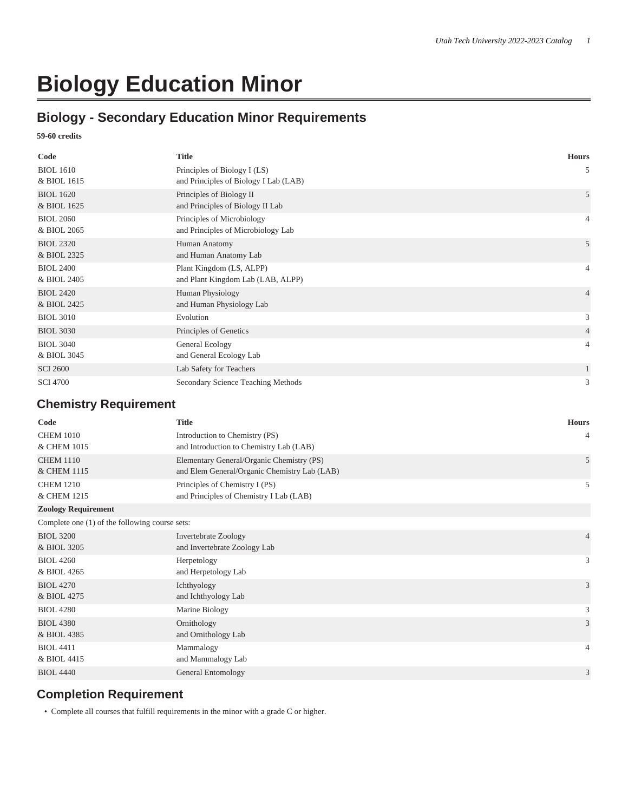# **Biology Education Minor**

## **Biology - Secondary Education Minor Requirements**

#### **59-60 credits**

| Code             | <b>Title</b>                          | <b>Hours</b>   |
|------------------|---------------------------------------|----------------|
| <b>BIOL 1610</b> | Principles of Biology I (LS)          | 5              |
| & BIOL 1615      | and Principles of Biology I Lab (LAB) |                |
| <b>BIOL 1620</b> | Principles of Biology II              | 5              |
| & BIOL 1625      | and Principles of Biology II Lab      |                |
| <b>BIOL 2060</b> | Principles of Microbiology            | 4              |
| & BIOL 2065      | and Principles of Microbiology Lab    |                |
| <b>BIOL 2320</b> | Human Anatomy                         | 5              |
| & BIOL 2325      | and Human Anatomy Lab                 |                |
| <b>BIOL 2400</b> | Plant Kingdom (LS, ALPP)              | 4              |
| & BIOL 2405      | and Plant Kingdom Lab (LAB, ALPP)     |                |
| <b>BIOL 2420</b> | Human Physiology                      | $\overline{4}$ |
| & BIOL 2425      | and Human Physiology Lab              |                |
| <b>BIOL 3010</b> | Evolution                             | 3              |
| <b>BIOL 3030</b> | Principles of Genetics                | $\overline{4}$ |
| <b>BIOL 3040</b> | General Ecology                       | $\overline{4}$ |
| & BIOL 3045      | and General Ecology Lab               |                |
| <b>SCI 2600</b>  | Lab Safety for Teachers               |                |
| <b>SCI 4700</b>  | Secondary Science Teaching Methods    | 3              |

## **Chemistry Requirement**

| Code                                           | <b>Title</b>                                                                              | <b>Hours</b>   |
|------------------------------------------------|-------------------------------------------------------------------------------------------|----------------|
| <b>CHEM 1010</b><br>& CHEM 1015                | Introduction to Chemistry (PS)<br>and Introduction to Chemistry Lab (LAB)                 | 4              |
| <b>CHEM 1110</b><br>& CHEM 1115                | Elementary General/Organic Chemistry (PS)<br>and Elem General/Organic Chemistry Lab (LAB) | 5              |
| <b>CHEM 1210</b><br>& CHEM 1215                | Principles of Chemistry I (PS)<br>and Principles of Chemistry I Lab (LAB)                 | 5              |
| <b>Zoology Requirement</b>                     |                                                                                           |                |
| Complete one (1) of the following course sets: |                                                                                           |                |
| <b>BIOL 3200</b><br>& BIOL 3205                | Invertebrate Zoology<br>and Invertebrate Zoology Lab                                      | $\overline{4}$ |
| <b>BIOL 4260</b>                               | Herpetology                                                                               | 3              |
| & BIOL 4265                                    | and Herpetology Lab                                                                       |                |
| <b>BIOL 4270</b><br>& BIOL 4275                | Ichthyology<br>and Ichthyology Lab                                                        | 3              |
| <b>BIOL 4280</b>                               | Marine Biology                                                                            | 3              |
| <b>BIOL 4380</b><br>& BIOL 4385                | Ornithology<br>and Ornithology Lab                                                        | 3              |
| <b>BIOL 4411</b><br>& BIOL 4415                | Mammalogy<br>and Mammalogy Lab                                                            | 4              |
| <b>BIOL 4440</b>                               | General Entomology                                                                        | 3              |
|                                                |                                                                                           |                |

#### **Completion Requirement**

• Complete all courses that fulfill requirements in the minor with a grade C or higher.